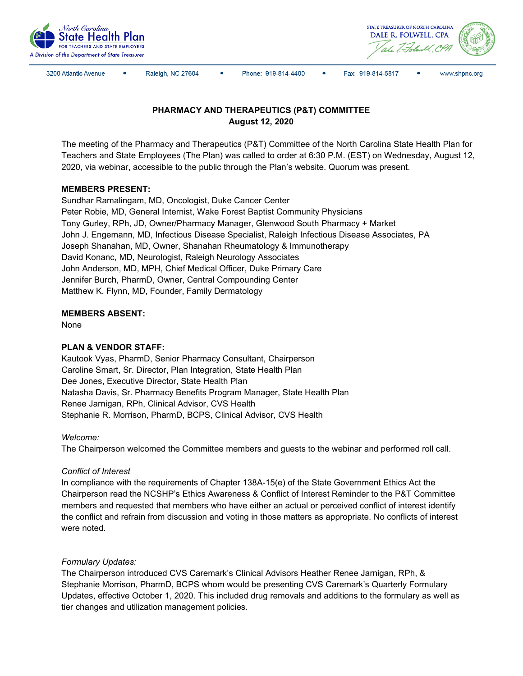



3200 Atlantic Avenue

Raleigh, NC 27604

Phone: 919-814-4400

 $\bullet$ Fax: 919-814-5817



# **PHARMACY AND THERAPEUTICS (P&T) COMMITTEE August 12, 2020**

The meeting of the Pharmacy and Therapeutics (P&T) Committee of the North Carolina State Health Plan for Teachers and State Employees (The Plan) was called to order at 6:30 P.M. (EST) on Wednesday, August 12, 2020, via webinar, accessible to the public through the Plan's website. Quorum was present.

## **MEMBERS PRESENT:**

Sundhar Ramalingam, MD, Oncologist, Duke Cancer Center Peter Robie, MD, General Internist, Wake Forest Baptist Community Physicians Tony Gurley, RPh, JD, Owner/Pharmacy Manager, Glenwood South Pharmacy + Market John J. Engemann, MD, Infectious Disease Specialist, Raleigh Infectious Disease Associates, PA Joseph Shanahan, MD, Owner, Shanahan Rheumatology & Immunotherapy David Konanc, MD, Neurologist, Raleigh Neurology Associates John Anderson, MD, MPH, Chief Medical Officer, Duke Primary Care Jennifer Burch, PharmD, Owner, Central Compounding Center Matthew K. Flynn, MD, Founder, Family Dermatology

## **MEMBERS ABSENT:**

None

## **PLAN & VENDOR STAFF:**

Kautook Vyas, PharmD, Senior Pharmacy Consultant, Chairperson Caroline Smart, Sr. Director, Plan Integration, State Health Plan Dee Jones, Executive Director, State Health Plan Natasha Davis, Sr. Pharmacy Benefits Program Manager, State Health Plan Renee Jarnigan, RPh, Clinical Advisor, CVS Health Stephanie R. Morrison, PharmD, BCPS, Clinical Advisor, CVS Health

#### *Welcome:*

The Chairperson welcomed the Committee members and guests to the webinar and performed roll call.

#### *Conflict of Interest*

In compliance with the requirements of Chapter 138A-15(e) of the State Government Ethics Act the Chairperson read the NCSHP's Ethics Awareness & Conflict of Interest Reminder to the P&T Committee members and requested that members who have either an actual or perceived conflict of interest identify the conflict and refrain from discussion and voting in those matters as appropriate. No conflicts of interest were noted.

#### *Formulary Updates:*

The Chairperson introduced CVS Caremark's Clinical Advisors Heather Renee Jarnigan, RPh, & Stephanie Morrison, PharmD, BCPS whom would be presenting CVS Caremark's Quarterly Formulary Updates, effective October 1, 2020. This included drug removals and additions to the formulary as well as tier changes and utilization management policies.